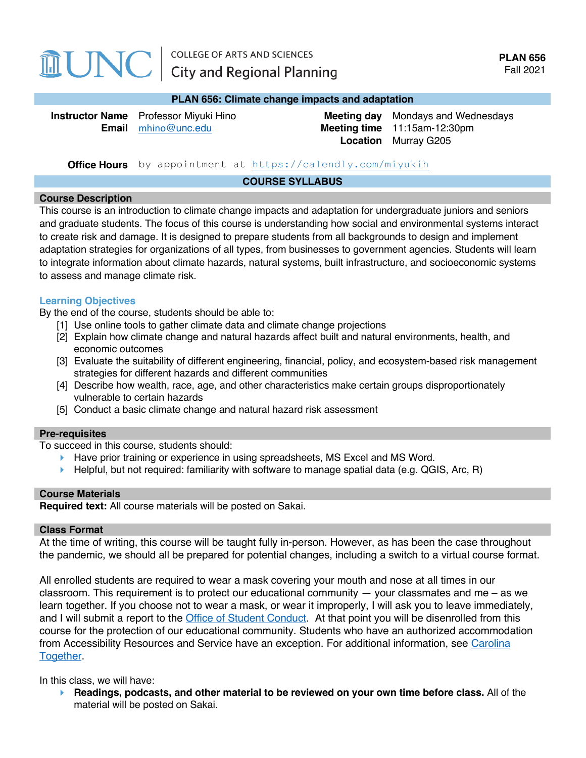# **MUNC**

#### **PLAN 656: Climate change impacts and adaptation**

| <b>Instructor Name</b> Professor Miyuki Hino | <b>Meeting day</b> Mondays and Wednesdays |
|----------------------------------------------|-------------------------------------------|
| <b>Email</b> mhino@unc.edu                   | <b>Meeting time</b> $11:15am-12:30pm$     |
|                                              | <b>Location</b> Murray G205               |

## **Office Hours** by appointment at https://calendly.com/miyukih

#### **COURSE SYLLABUS**

#### **Course Description**

This course is an introduction to climate change impacts and adaptation for undergraduate juniors and seniors and graduate students. The focus of this course is understanding how social and environmental systems interact to create risk and damage. It is designed to prepare students from all backgrounds to design and implement adaptation strategies for organizations of all types, from businesses to government agencies. Students will learn to integrate information about climate hazards, natural systems, built infrastructure, and socioeconomic systems to assess and manage climate risk.

## **Learning Objectives**

By the end of the course, students should be able to:

- [1] Use online tools to gather climate data and climate change projections
- [2] Explain how climate change and natural hazards affect built and natural environments, health, and economic outcomes
- [3] Evaluate the suitability of different engineering, financial, policy, and ecosystem-based risk management strategies for different hazards and different communities
- [4] Describe how wealth, race, age, and other characteristics make certain groups disproportionately vulnerable to certain hazards
- [5] Conduct a basic climate change and natural hazard risk assessment

#### **Pre-requisites**

To succeed in this course, students should:

- ▶ Have prior training or experience in using spreadsheets, MS Excel and MS Word.
- $\blacktriangleright$  Helpful, but not required: familiarity with software to manage spatial data (e.g. QGIS, Arc, R)

## **Course Materials**

**Required text:** All course materials will be posted on Sakai.

#### **Class Format**

At the time of writing, this course will be taught fully in-person. However, as has been the case throughout the pandemic, we should all be prepared for potential changes, including a switch to a virtual course format.

All enrolled students are required to wear a mask covering your mouth and nose at all times in our classroom. This requirement is to protect our educational community  $-$  your classmates and me  $-$  as we learn together. If you choose not to wear a mask, or wear it improperly, I will ask you to leave immediately, and I will submit a report to the Office of Student Conduct. At that point you will be disenrolled from this course for the protection of our educational community. Students who have an authorized accommodation from Accessibility Resources and Service have an exception. For additional information, see Carolina Together.

In this class, we will have:

4 **Readings, podcasts, and other material to be reviewed on your own time before class.** All of the material will be posted on Sakai.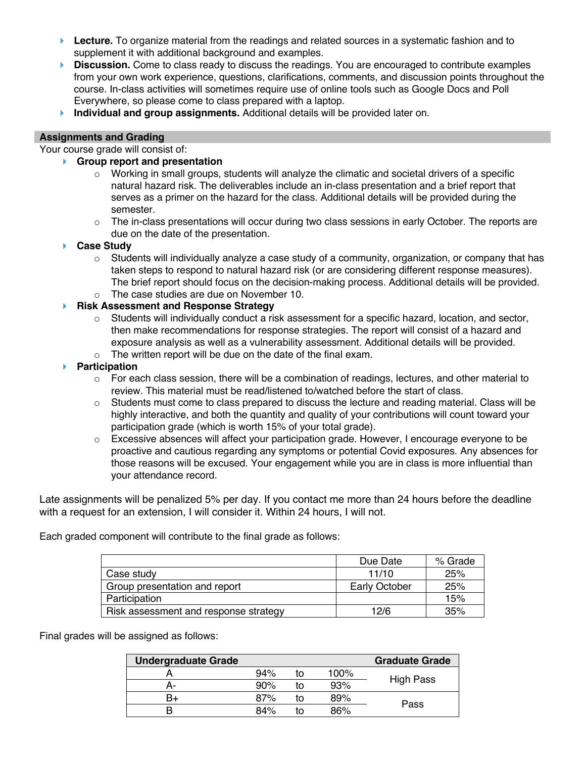- **►** Lecture. To organize material from the readings and related sources in a systematic fashion and to supplement it with additional background and examples.
- **► Discussion.** Come to class ready to discuss the readings. You are encouraged to contribute examples from your own work experience, questions, clarifications, comments, and discussion points throughout the course. In-class activities will sometimes require use of online tools such as Google Docs and Poll Everywhere, so please come to class prepared with a laptop.
- **Individual and group assignments.** Additional details will be provided later on.

## **Assignments and Grading**

Your course grade will consist of:

- 4 **Group report and presentation**
	- o Working in small groups, students will analyze the climatic and societal drivers of a specific natural hazard risk. The deliverables include an in-class presentation and a brief report that serves as a primer on the hazard for the class. Additional details will be provided during the semester.
	- $\circ$  The in-class presentations will occur during two class sessions in early October. The reports are due on the date of the presentation.
- 4 **Case Study**
	- o Students will individually analyze a case study of a community, organization, or company that has taken steps to respond to natural hazard risk (or are considering different response measures). The brief report should focus on the decision-making process. Additional details will be provided.
	- o The case studies are due on November 10.

## 4 **Risk Assessment and Response Strategy**

- $\circ$  Students will individually conduct a risk assessment for a specific hazard, location, and sector, then make recommendations for response strategies. The report will consist of a hazard and exposure analysis as well as a vulnerability assessment. Additional details will be provided.
- o The written report will be due on the date of the final exam.
- 4 **Participation**
	- $\circ$  For each class session, there will be a combination of readings, lectures, and other material to review. This material must be read/listened to/watched before the start of class.
	- $\circ$  Students must come to class prepared to discuss the lecture and reading material. Class will be highly interactive, and both the quantity and quality of your contributions will count toward your participation grade (which is worth 15% of your total grade).
	- $\circ$  Excessive absences will affect your participation grade. However, I encourage everyone to be proactive and cautious regarding any symptoms or potential Covid exposures. Any absences for those reasons will be excused. Your engagement while you are in class is more influential than your attendance record.

Late assignments will be penalized 5% per day. If you contact me more than 24 hours before the deadline with a request for an extension, I will consider it. Within 24 hours, I will not.

Each graded component will contribute to the final grade as follows:

|                                       | Due Date      | % Grade |
|---------------------------------------|---------------|---------|
| Case study                            | 11/10         | 25%     |
| Group presentation and report         | Early October | 25%     |
| Participation                         |               | 15%     |
| Risk assessment and response strategy | 12/6          | 35%     |

Final grades will be assigned as follows:

| <b>Undergraduate Grade</b> |     |    |      | <b>Graduate Grade</b> |
|----------------------------|-----|----|------|-----------------------|
|                            | 94% | īΩ | 100% |                       |
| А-                         | 90% | īΩ | 93%  | <b>High Pass</b>      |
| B+                         | 87% | īΩ | 89%  |                       |
|                            | 84% |    | 86%  | Pass                  |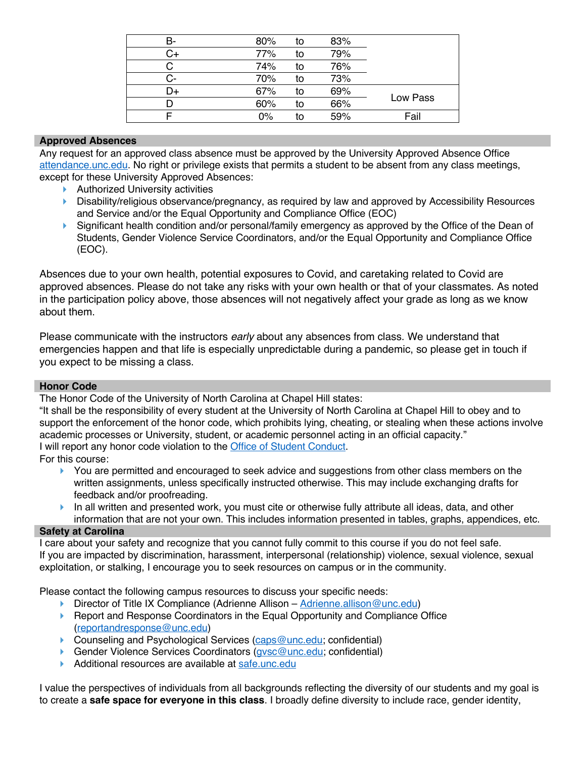| в- | 80% | to | 83% |          |  |
|----|-----|----|-----|----------|--|
|    | 77% | to | 79% |          |  |
|    | 74% | to | 76% |          |  |
| င- | 70% | to | 73% |          |  |
| D+ | 67% | to | 69% |          |  |
|    | 60% | to | 66% | Low Pass |  |
|    | 0%  | to | 59% | Fail     |  |

## **Approved Absences**

Any request for an approved class absence must be approved by the University Approved Absence Office attendance.unc.edu. No right or privilege exists that permits a student to be absent from any class meetings, except for these University Approved Absences:

- $\blacktriangleright$  Authorized University activities
- ▶ Disability/religious observance/pregnancy, as required by law and approved by Accessibility Resources and Service and/or the Equal Opportunity and Compliance Office (EOC)
- ▶ Significant health condition and/or personal/family emergency as approved by the Office of the Dean of Students, Gender Violence Service Coordinators, and/or the Equal Opportunity and Compliance Office (EOC).

Absences due to your own health, potential exposures to Covid, and caretaking related to Covid are approved absences. Please do not take any risks with your own health or that of your classmates. As noted in the participation policy above, those absences will not negatively affect your grade as long as we know about them.

Please communicate with the instructors *early* about any absences from class. We understand that emergencies happen and that life is especially unpredictable during a pandemic, so please get in touch if you expect to be missing a class.

## **Honor Code**

The Honor Code of the University of North Carolina at Chapel Hill states:

"It shall be the responsibility of every student at the University of North Carolina at Chapel Hill to obey and to support the enforcement of the honor code, which prohibits lying, cheating, or stealing when these actions involve academic processes or University, student, or academic personnel acting in an official capacity." I will report any honor code violation to the **Office of Student Conduct**.

For this course:

- ▶ You are permitted and encouraged to seek advice and suggestions from other class members on the written assignments, unless specifically instructed otherwise. This may include exchanging drafts for feedback and/or proofreading.
- $\blacktriangleright$  In all written and presented work, you must cite or otherwise fully attribute all ideas, data, and other information that are not your own. This includes information presented in tables, graphs, appendices, etc.

## **Safety at Carolina**

I care about your safety and recognize that you cannot fully commit to this course if you do not feel safe. If you are impacted by discrimination, harassment, interpersonal (relationship) violence, sexual violence, sexual exploitation, or stalking, I encourage you to seek resources on campus or in the community.

Please contact the following campus resources to discuss your specific needs:

- $\triangleright$  Director of Title IX Compliance (Adrienne Allison Adrienne.allison@unc.edu)
- ▶ Report and Response Coordinators in the Equal Opportunity and Compliance Office (reportandresponse@unc.edu)
- ▶ Counseling and Psychological Services (caps@unc.edu; confidential)
- ▶ Gender Violence Services Coordinators (*gysc@unc.edu;* confidential)
- Additional resources are available at safe.unc.edu

I value the perspectives of individuals from all backgrounds reflecting the diversity of our students and my goal is to create a **safe space for everyone in this class**. I broadly define diversity to include race, gender identity,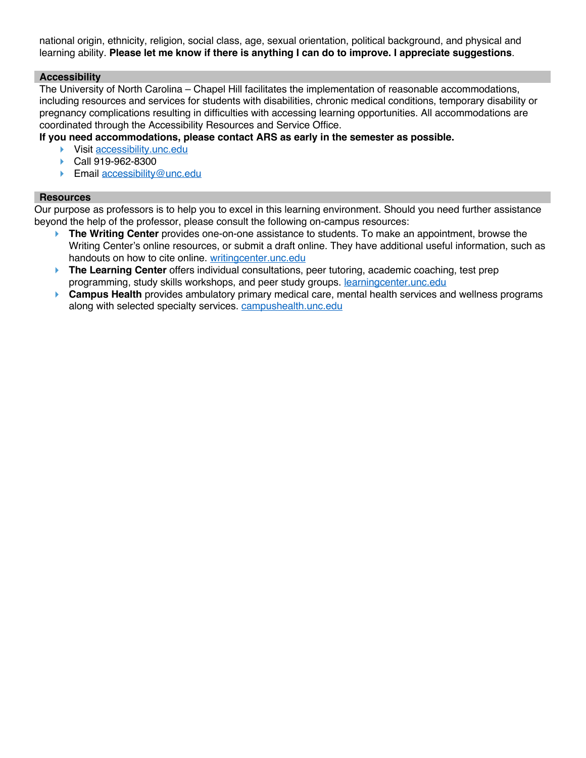national origin, ethnicity, religion, social class, age, sexual orientation, political background, and physical and learning ability. **Please let me know if there is anything I can do to improve. I appreciate suggestions**.

## **Accessibility**

The University of North Carolina – Chapel Hill facilitates the implementation of reasonable accommodations, including resources and services for students with disabilities, chronic medical conditions, temporary disability or pregnancy complications resulting in difficulties with accessing learning opportunities. All accommodations are coordinated through the Accessibility Resources and Service Office.

**If you need accommodations, please contact ARS as early in the semester as possible.** 

- ▶ Visit accessibility.unc.edu
- ▶ Call 919-962-8300
- **Email accessibility@unc.edu**

## **Resources**

Our purpose as professors is to help you to excel in this learning environment. Should you need further assistance beyond the help of the professor, please consult the following on-campus resources:

- **► The Writing Center** provides one-on-one assistance to students. To make an appointment, browse the Writing Center's online resources, or submit a draft online. They have additional useful information, such as handouts on how to cite online. writingcenter.unc.edu
- **► The Learning Center** offers individual consultations, peer tutoring, academic coaching, test prep programming, study skills workshops, and peer study groups. learningcenter.unc.edu
- **► Campus Health** provides ambulatory primary medical care, mental health services and wellness programs along with selected specialty services. campushealth.unc.edu